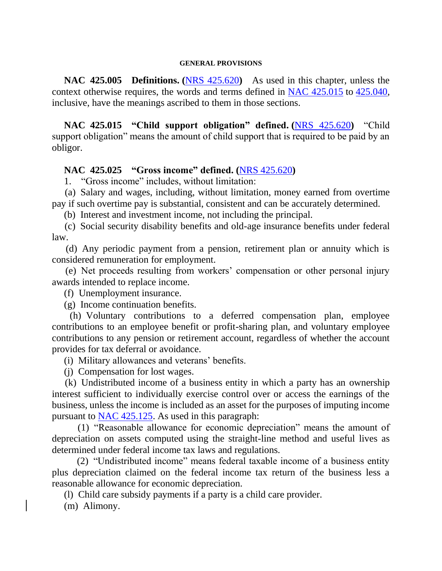#### **GENERAL PROVISIONS**

 **NAC 425.005 Definitions. (**[NRS 425.620](https://www.leg.state.nv.us/NRS/NRS-425.html#NRS425Sec620)**)** As used in this chapter, unless the context otherwise requires, the words and terms defined in [NAC 425.015](https://www.leg.state.nv.us/NAC/NAC-425.html#NAC425Sec015) to [425.040,](https://www.leg.state.nv.us/NAC/NAC-425.html#NAC425Sec040) inclusive, have the meanings ascribed to them in those sections.

 **NAC 425.015 "Child support obligation" defined. (**[NRS 425.620](https://www.leg.state.nv.us/NRS/NRS-425.html#NRS425Sec620)**)** "Child support obligation" means the amount of child support that is required to be paid by an obligor.

#### **NAC 425.025 "Gross income" defined. (**[NRS 425.620](https://www.leg.state.nv.us/NRS/NRS-425.html#NRS425Sec620)**)**

1. "Gross income" includes, without limitation:

 (a) Salary and wages, including, without limitation, money earned from overtime pay if such overtime pay is substantial, consistent and can be accurately determined.

(b) Interest and investment income, not including the principal.

 (c) Social security disability benefits and old-age insurance benefits under federal law.

 (d) Any periodic payment from a pension, retirement plan or annuity which is considered remuneration for employment.

 (e) Net proceeds resulting from workers' compensation or other personal injury awards intended to replace income.

(f) Unemployment insurance.

(g) Income continuation benefits.

 (h) Voluntary contributions to a deferred compensation plan, employee contributions to an employee benefit or profit-sharing plan, and voluntary employee contributions to any pension or retirement account, regardless of whether the account provides for tax deferral or avoidance.

(i) Military allowances and veterans' benefits.

(j) Compensation for lost wages.

 (k) Undistributed income of a business entity in which a party has an ownership interest sufficient to individually exercise control over or access the earnings of the business, unless the income is included as an asset for the purposes of imputing income pursuant to [NAC 425.125.](https://www.leg.state.nv.us/NAC/NAC-425.html#NAC425Sec125) As used in this paragraph:

 (1) "Reasonable allowance for economic depreciation" means the amount of depreciation on assets computed using the straight-line method and useful lives as determined under federal income tax laws and regulations.

 (2) "Undistributed income" means federal taxable income of a business entity plus depreciation claimed on the federal income tax return of the business less a reasonable allowance for economic depreciation.

(l) Child care subsidy payments if a party is a child care provider.

(m) Alimony.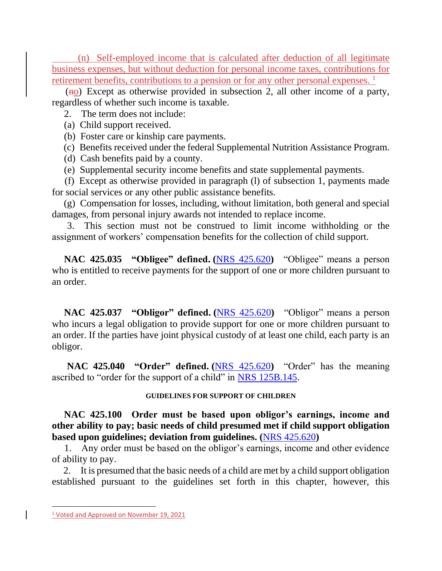(n) Self-employed income that is calculated after deduction of all legitimate business expenses, but without deduction for personal income taxes, contributions for retirement benefits, contributions to a pension or for any other personal expenses.<sup>1</sup>

 $(no)$  Except as otherwise provided in subsection 2, all other income of a party, regardless of whether such income is taxable.

2. The term does not include:

- (a) Child support received.
- (b) Foster care or kinship care payments.
- (c) Benefits received under the federal Supplemental Nutrition Assistance Program.
- (d) Cash benefits paid by a county.
- (e) Supplemental security income benefits and state supplemental payments.

 (f) Except as otherwise provided in paragraph (l) of subsection 1, payments made for social services or any other public assistance benefits.

 (g) Compensation for losses, including, without limitation, both general and special damages, from personal injury awards not intended to replace income.

 3. This section must not be construed to limit income withholding or the assignment of workers' compensation benefits for the collection of child support.

 **NAC 425.035 "Obligee" defined. (**[NRS 425.620](https://www.leg.state.nv.us/NRS/NRS-425.html#NRS425Sec620)**)** "Obligee" means a person who is entitled to receive payments for the support of one or more children pursuant to an order.

 **NAC 425.037 "Obligor" defined. (**[NRS 425.620](https://www.leg.state.nv.us/NRS/NRS-425.html#NRS425Sec620)**)** "Obligor" means a person who incurs a legal obligation to provide support for one or more children pursuant to an order. If the parties have joint physical custody of at least one child, each party is an obligor.

 **NAC 425.040 "Order" defined. (**[NRS 425.620](https://www.leg.state.nv.us/NRS/NRS-425.html#NRS425Sec620)**)** "Order" has the meaning ascribed to "order for the support of a child" in [NRS 125B.145.](https://www.leg.state.nv.us/NRS/NRS-125B.html#NRS125BSec145)

### **GUIDELINES FOR SUPPORT OF CHILDREN**

 **NAC 425.100 Order must be based upon obligor's earnings, income and other ability to pay; basic needs of child presumed met if child support obligation based upon guidelines; deviation from guidelines. (**[NRS 425.620](https://www.leg.state.nv.us/NRS/NRS-425.html#NRS425Sec620)**)**

 1. Any order must be based on the obligor's earnings, income and other evidence of ability to pay.

 2. It is presumed that the basic needs of a child are met by a child support obligation established pursuant to the guidelines set forth in this chapter, however, this

<sup>&</sup>lt;sup>1</sup> Voted and Approved on November 19, 2021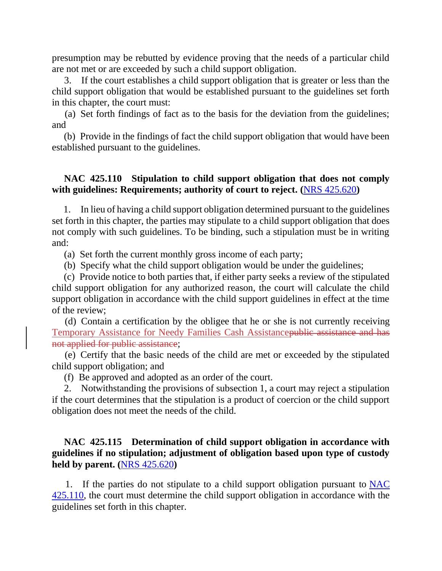presumption may be rebutted by evidence proving that the needs of a particular child are not met or are exceeded by such a child support obligation.

 3. If the court establishes a child support obligation that is greater or less than the child support obligation that would be established pursuant to the guidelines set forth in this chapter, the court must:

 (a) Set forth findings of fact as to the basis for the deviation from the guidelines; and

 (b) Provide in the findings of fact the child support obligation that would have been established pursuant to the guidelines.

## **NAC 425.110 Stipulation to child support obligation that does not comply with guidelines: Requirements; authority of court to reject. (**[NRS 425.620](https://www.leg.state.nv.us/NRS/NRS-425.html#NRS425Sec620)**)**

 1. In lieu of having a child support obligation determined pursuant to the guidelines set forth in this chapter, the parties may stipulate to a child support obligation that does not comply with such guidelines. To be binding, such a stipulation must be in writing and:

(a) Set forth the current monthly gross income of each party;

(b) Specify what the child support obligation would be under the guidelines;

 (c) Provide notice to both parties that, if either party seeks a review of the stipulated child support obligation for any authorized reason, the court will calculate the child support obligation in accordance with the child support guidelines in effect at the time of the review;

 (d) Contain a certification by the obligee that he or she is not currently receiving Temporary Assistance for Needy Families Cash Assistancepublic assistance and has not applied for public assistance;

 (e) Certify that the basic needs of the child are met or exceeded by the stipulated child support obligation; and

(f) Be approved and adopted as an order of the court.

 2. Notwithstanding the provisions of subsection 1, a court may reject a stipulation if the court determines that the stipulation is a product of coercion or the child support obligation does not meet the needs of the child.

# **NAC 425.115 Determination of child support obligation in accordance with guidelines if no stipulation; adjustment of obligation based upon type of custody held by parent. (**[NRS 425.620](https://www.leg.state.nv.us/NRS/NRS-425.html#NRS425Sec620)**)**

 1. If the parties do not stipulate to a child support obligation pursuant to [NAC](https://www.leg.state.nv.us/NAC/NAC-425.html#NAC425Sec110)  [425.110,](https://www.leg.state.nv.us/NAC/NAC-425.html#NAC425Sec110) the court must determine the child support obligation in accordance with the guidelines set forth in this chapter.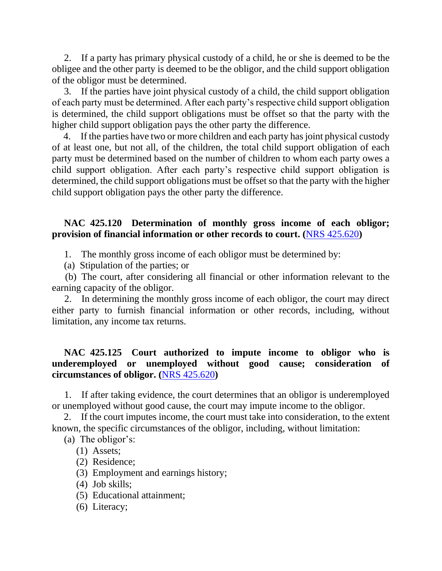2. If a party has primary physical custody of a child, he or she is deemed to be the obligee and the other party is deemed to be the obligor, and the child support obligation of the obligor must be determined.

 3. If the parties have joint physical custody of a child, the child support obligation of each party must be determined. After each party's respective child support obligation is determined, the child support obligations must be offset so that the party with the higher child support obligation pays the other party the difference.

 4. If the parties have two or more children and each party has joint physical custody of at least one, but not all, of the children, the total child support obligation of each party must be determined based on the number of children to whom each party owes a child support obligation. After each party's respective child support obligation is determined, the child support obligations must be offset so that the party with the higher child support obligation pays the other party the difference.

### **NAC 425.120 Determination of monthly gross income of each obligor; provision of financial information or other records to court. (**[NRS 425.620](https://www.leg.state.nv.us/NRS/NRS-425.html#NRS425Sec620)**)**

1. The monthly gross income of each obligor must be determined by:

(a) Stipulation of the parties; or

 (b) The court, after considering all financial or other information relevant to the earning capacity of the obligor.

 2. In determining the monthly gross income of each obligor, the court may direct either party to furnish financial information or other records, including, without limitation, any income tax returns.

# **NAC 425.125 Court authorized to impute income to obligor who is underemployed or unemployed without good cause; consideration of circumstances of obligor. (**[NRS 425.620](https://www.leg.state.nv.us/NRS/NRS-425.html#NRS425Sec620)**)**

 1. If after taking evidence, the court determines that an obligor is underemployed or unemployed without good cause, the court may impute income to the obligor.

 2. If the court imputes income, the court must take into consideration, to the extent known, the specific circumstances of the obligor, including, without limitation:

(a) The obligor's:

- (1) Assets;
- (2) Residence;
- (3) Employment and earnings history;
- (4) Job skills;
- (5) Educational attainment;
- (6) Literacy;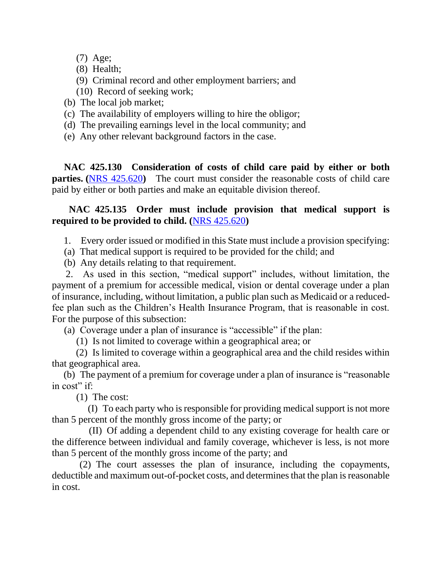- (7) Age;
- (8) Health;
- (9) Criminal record and other employment barriers; and
- (10) Record of seeking work;
- (b) The local job market;
- (c) The availability of employers willing to hire the obligor;
- (d) The prevailing earnings level in the local community; and
- (e) Any other relevant background factors in the case.

 **NAC 425.130 Consideration of costs of child care paid by either or both parties. ([NRS 425.620](https://www.leg.state.nv.us/NRS/NRS-425.html#NRS425Sec620))** The court must consider the reasonable costs of child care paid by either or both parties and make an equitable division thereof.

# **NAC 425.135 Order must include provision that medical support is required to be provided to child. (**[NRS 425.620](https://www.leg.state.nv.us/NRS/NRS-425.html#NRS425Sec620)**)**

1. Every order issued or modified in this State must include a provision specifying:

- (a) That medical support is required to be provided for the child; and
- (b) Any details relating to that requirement.

 2. As used in this section, "medical support" includes, without limitation, the payment of a premium for accessible medical, vision or dental coverage under a plan of insurance, including, without limitation, a public plan such as Medicaid or a reducedfee plan such as the Children's Health Insurance Program, that is reasonable in cost. For the purpose of this subsection:

(a) Coverage under a plan of insurance is "accessible" if the plan:

(1) Is not limited to coverage within a geographical area; or

 (2) Is limited to coverage within a geographical area and the child resides within that geographical area.

 (b) The payment of a premium for coverage under a plan of insurance is "reasonable in cost" if:

(1) The cost:

 (I) To each party who is responsible for providing medical support is not more than 5 percent of the monthly gross income of the party; or

 (II) Of adding a dependent child to any existing coverage for health care or the difference between individual and family coverage, whichever is less, is not more than 5 percent of the monthly gross income of the party; and

 (2) The court assesses the plan of insurance, including the copayments, deductible and maximum out-of-pocket costs, and determines that the plan is reasonable in cost.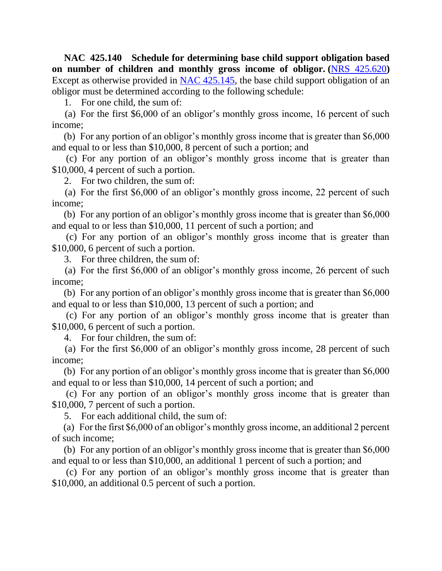**NAC 425.140 Schedule for determining base child support obligation based on number of children and monthly gross income of obligor. (**[NRS 425.620](https://www.leg.state.nv.us/NRS/NRS-425.html#NRS425Sec620)**)** Except as otherwise provided in [NAC 425.145,](https://www.leg.state.nv.us/NAC/NAC-425.html#NAC425Sec145) the base child support obligation of an obligor must be determined according to the following schedule:

1. For one child, the sum of:

 (a) For the first \$6,000 of an obligor's monthly gross income, 16 percent of such income;

 (b) For any portion of an obligor's monthly gross income that is greater than \$6,000 and equal to or less than \$10,000, 8 percent of such a portion; and

 (c) For any portion of an obligor's monthly gross income that is greater than \$10,000, 4 percent of such a portion.

2. For two children, the sum of:

 (a) For the first \$6,000 of an obligor's monthly gross income, 22 percent of such income;

 (b) For any portion of an obligor's monthly gross income that is greater than \$6,000 and equal to or less than \$10,000, 11 percent of such a portion; and

 (c) For any portion of an obligor's monthly gross income that is greater than \$10,000, 6 percent of such a portion.

3. For three children, the sum of:

 (a) For the first \$6,000 of an obligor's monthly gross income, 26 percent of such income;

 (b) For any portion of an obligor's monthly gross income that is greater than \$6,000 and equal to or less than \$10,000, 13 percent of such a portion; and

 (c) For any portion of an obligor's monthly gross income that is greater than \$10,000, 6 percent of such a portion.

4. For four children, the sum of:

 (a) For the first \$6,000 of an obligor's monthly gross income, 28 percent of such income;

 (b) For any portion of an obligor's monthly gross income that is greater than \$6,000 and equal to or less than \$10,000, 14 percent of such a portion; and

 (c) For any portion of an obligor's monthly gross income that is greater than \$10,000, 7 percent of such a portion.

5. For each additional child, the sum of:

 (a) For the first \$6,000 of an obligor's monthly gross income, an additional 2 percent of such income;

 (b) For any portion of an obligor's monthly gross income that is greater than \$6,000 and equal to or less than \$10,000, an additional 1 percent of such a portion; and

 (c) For any portion of an obligor's monthly gross income that is greater than \$10,000, an additional 0.5 percent of such a portion.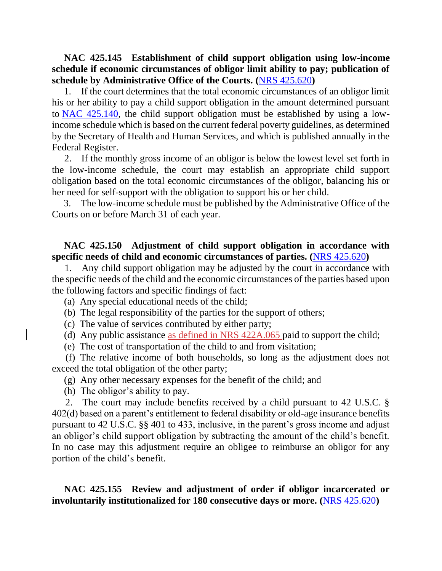**NAC 425.145 Establishment of child support obligation using low-income schedule if economic circumstances of obligor limit ability to pay; publication of schedule by Administrative Office of the Courts. (**[NRS 425.620](https://www.leg.state.nv.us/NRS/NRS-425.html#NRS425Sec620)**)**

 1. If the court determines that the total economic circumstances of an obligor limit his or her ability to pay a child support obligation in the amount determined pursuant to [NAC 425.140,](https://www.leg.state.nv.us/NAC/NAC-425.html#NAC425Sec140) the child support obligation must be established by using a lowincome schedule which is based on the current federal poverty guidelines, as determined by the Secretary of Health and Human Services, and which is published annually in the Federal Register.

 2. If the monthly gross income of an obligor is below the lowest level set forth in the low-income schedule, the court may establish an appropriate child support obligation based on the total economic circumstances of the obligor, balancing his or her need for self-support with the obligation to support his or her child.

 3. The low-income schedule must be published by the Administrative Office of the Courts on or before March 31 of each year.

#### **NAC 425.150 Adjustment of child support obligation in accordance with specific needs of child and economic circumstances of parties. (**[NRS 425.620](https://www.leg.state.nv.us/NRS/NRS-425.html#NRS425Sec620)**)**

 1. Any child support obligation may be adjusted by the court in accordance with the specific needs of the child and the economic circumstances of the parties based upon the following factors and specific findings of fact:

(a) Any special educational needs of the child;

(b) The legal responsibility of the parties for the support of others;

(c) The value of services contributed by either party;

(d) Any public assistance as defined in NRS 422A.065 paid to support the child;

(e) The cost of transportation of the child to and from visitation;

 (f) The relative income of both households, so long as the adjustment does not exceed the total obligation of the other party;

(g) Any other necessary expenses for the benefit of the child; and

(h) The obligor's ability to pay.

 2. The court may include benefits received by a child pursuant to 42 U.S.C. § 402(d) based on a parent's entitlement to federal disability or old-age insurance benefits pursuant to 42 U.S.C. §§ 401 to 433, inclusive, in the parent's gross income and adjust an obligor's child support obligation by subtracting the amount of the child's benefit. In no case may this adjustment require an obligee to reimburse an obligor for any portion of the child's benefit.

 **NAC 425.155 Review and adjustment of order if obligor incarcerated or involuntarily institutionalized for 180 consecutive days or more. (**[NRS 425.620](https://www.leg.state.nv.us/NRS/NRS-425.html#NRS425Sec620)**)**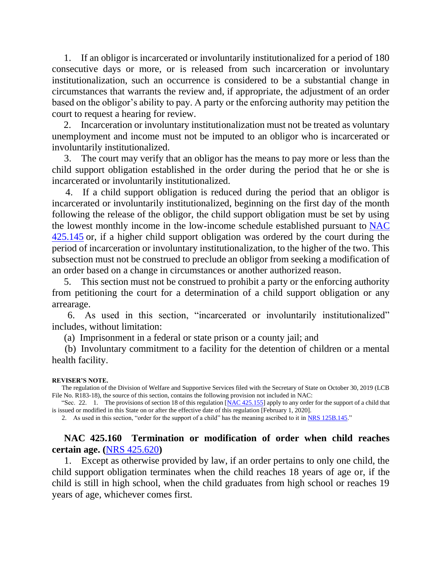1. If an obligor is incarcerated or involuntarily institutionalized for a period of 180 consecutive days or more, or is released from such incarceration or involuntary institutionalization, such an occurrence is considered to be a substantial change in circumstances that warrants the review and, if appropriate, the adjustment of an order based on the obligor's ability to pay. A party or the enforcing authority may petition the court to request a hearing for review.

 2. Incarceration or involuntary institutionalization must not be treated as voluntary unemployment and income must not be imputed to an obligor who is incarcerated or involuntarily institutionalized.

 3. The court may verify that an obligor has the means to pay more or less than the child support obligation established in the order during the period that he or she is incarcerated or involuntarily institutionalized.

 4. If a child support obligation is reduced during the period that an obligor is incarcerated or involuntarily institutionalized, beginning on the first day of the month following the release of the obligor, the child support obligation must be set by using the lowest monthly income in the low-income schedule established pursuant to [NAC](https://www.leg.state.nv.us/NAC/NAC-425.html#NAC425Sec145)  [425.145](https://www.leg.state.nv.us/NAC/NAC-425.html#NAC425Sec145) or, if a higher child support obligation was ordered by the court during the period of incarceration or involuntary institutionalization, to the higher of the two. This subsection must not be construed to preclude an obligor from seeking a modification of an order based on a change in circumstances or another authorized reason.

 5. This section must not be construed to prohibit a party or the enforcing authority from petitioning the court for a determination of a child support obligation or any arrearage.

 6. As used in this section, "incarcerated or involuntarily institutionalized" includes, without limitation:

(a) Imprisonment in a federal or state prison or a county jail; and

 (b) Involuntary commitment to a facility for the detention of children or a mental health facility.

#### **REVISER'S NOTE.**

 The regulation of the Division of Welfare and Supportive Services filed with the Secretary of State on October 30, 2019 (LCB File No. R183-18), the source of this section, contains the following provision not included in NAC:

"Sec. 22. 1. The provisions of section 18 of this regulation [\[NAC 425.155\]](https://www.leg.state.nv.us/NAC/NAC-425.html#NAC425Sec155) apply to any order for the support of a child that is issued or modified in this State on or after the effective date of this regulation [February 1, 2020].

2. As used in this section, "order for the support of a child" has the meaning ascribed to it in [NRS 125B.145.](https://www.leg.state.nv.us/NRS/NRS-125B.html#NRS125BSec145)"

#### **NAC 425.160 Termination or modification of order when child reaches certain age. (**[NRS 425.620](https://www.leg.state.nv.us/NRS/NRS-425.html#NRS425Sec620)**)**

 1. Except as otherwise provided by law, if an order pertains to only one child, the child support obligation terminates when the child reaches 18 years of age or, if the child is still in high school, when the child graduates from high school or reaches 19 years of age, whichever comes first.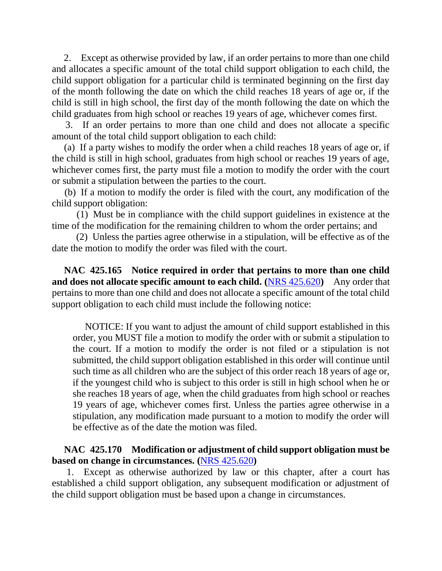2. Except as otherwise provided by law, if an order pertains to more than one child and allocates a specific amount of the total child support obligation to each child, the child support obligation for a particular child is terminated beginning on the first day of the month following the date on which the child reaches 18 years of age or, if the child is still in high school, the first day of the month following the date on which the child graduates from high school or reaches 19 years of age, whichever comes first.

 3. If an order pertains to more than one child and does not allocate a specific amount of the total child support obligation to each child:

 (a) If a party wishes to modify the order when a child reaches 18 years of age or, if the child is still in high school, graduates from high school or reaches 19 years of age, whichever comes first, the party must file a motion to modify the order with the court or submit a stipulation between the parties to the court.

 (b) If a motion to modify the order is filed with the court, any modification of the child support obligation:

 (1) Must be in compliance with the child support guidelines in existence at the time of the modification for the remaining children to whom the order pertains; and

 (2) Unless the parties agree otherwise in a stipulation, will be effective as of the date the motion to modify the order was filed with the court.

 **NAC 425.165 Notice required in order that pertains to more than one child and does not allocate specific amount to each child. (**[NRS 425.620](https://www.leg.state.nv.us/NRS/NRS-425.html#NRS425Sec620)**)** Any order that pertains to more than one child and does not allocate a specific amount of the total child support obligation to each child must include the following notice:

 NOTICE: If you want to adjust the amount of child support established in this order, you MUST file a motion to modify the order with or submit a stipulation to the court. If a motion to modify the order is not filed or a stipulation is not submitted, the child support obligation established in this order will continue until such time as all children who are the subject of this order reach 18 years of age or, if the youngest child who is subject to this order is still in high school when he or she reaches 18 years of age, when the child graduates from high school or reaches 19 years of age, whichever comes first. Unless the parties agree otherwise in a stipulation, any modification made pursuant to a motion to modify the order will be effective as of the date the motion was filed.

# **NAC 425.170 Modification or adjustment of child support obligation must be based on change in circumstances. (**[NRS 425.620](https://www.leg.state.nv.us/NRS/NRS-425.html#NRS425Sec620)**)**

 1. Except as otherwise authorized by law or this chapter, after a court has established a child support obligation, any subsequent modification or adjustment of the child support obligation must be based upon a change in circumstances.